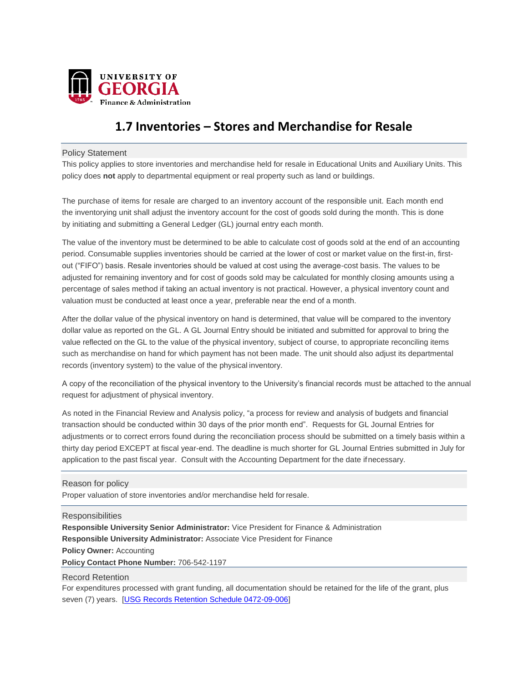

# **1.7 Inventories – Stores and Merchandise for Resale**

## Policy Statement

This policy applies to store inventories and merchandise held for resale in Educational Units and Auxiliary Units. This policy does **not** apply to departmental equipment or real property such as land or buildings.

The purchase of items for resale are charged to an inventory account of the responsible unit. Each month end the inventorying unit shall adjust the inventory account for the cost of goods sold during the month. This is done by initiating and submitting a General Ledger (GL) journal entry each month.

The value of the inventory must be determined to be able to calculate cost of goods sold at the end of an accounting period. Consumable supplies inventories should be carried at the lower of cost or market value on the first-in, firstout ("FIFO") basis. Resale inventories should be valued at cost using the average-cost basis. The values to be adjusted for remaining inventory and for cost of goods sold may be calculated for monthly closing amounts using a percentage of sales method if taking an actual inventory is not practical. However, a physical inventory count and valuation must be conducted at least once a year, preferable near the end of a month.

value reflected on the GL to the value of the physical inventory, subject of course, to appropriate reconciling items After the dollar value of the physical inventory on hand is determined, that value will be compared to the inventory dollar value as reported on the GL. A GL Journal Entry should be initiated and submitted for approval to bring the such as merchandise on hand for which payment has not been made. The unit should also adjust its departmental records (inventory system) to the value of the physical inventory.

A copy of the reconciliation of the physical inventory to the University's financial records must be attached to the annual request for adjustment of physical inventory.

As noted in the Financial Review and Analysis policy, "a process for review and analysis of budgets and financial transaction should be conducted within 30 days of the prior month end". Requests for GL Journal Entries for adjustments or to correct errors found during the reconciliation process should be submitted on a timely basis within a thirty day period EXCEPT at fiscal year-end. The deadline is much shorter for GL Journal Entries submitted in July for application to the past fiscal year. Consult with the Accounting Department for the date ifnecessary.

### Reason for policy

Proper valuation of store inventories and/or merchandise held forresale.

### **Responsibilities**

**Responsible University Senior Administrator:** Vice President for Finance & Administration **Responsible University Administrator:** Associate Vice President for Finance **Policy Owner:** Accounting **Policy Contact Phone Number:** 706-542-1197

### Record Retention

For expenditures processed with grant funding, all documentation should be retained for the life of the grant, plus seven (7) years. [\[USG Records Retention Schedule 0472-09-006\]](https://www.usg.edu/records_management/schedules/932)